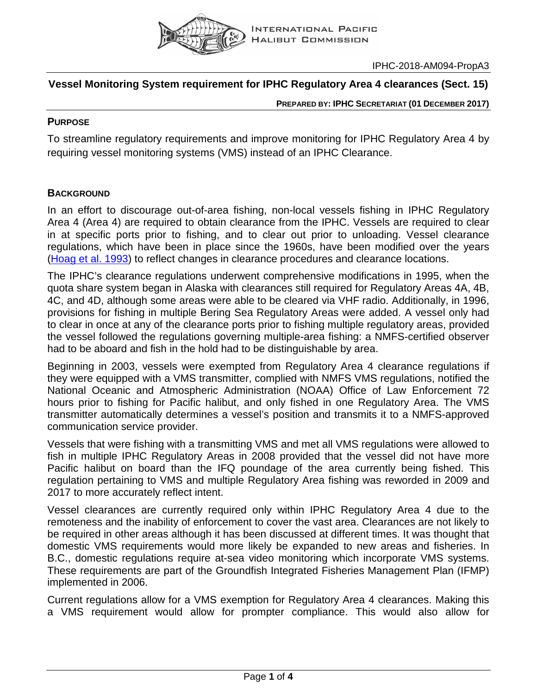

# **Vessel Monitoring System requirement for IPHC Regulatory Area 4 clearances (Sect. 15)**

**PREPARED BY: IPHC SECRETARIAT (01 DECEMBER 2017)**

## **PURPOSE**

To streamline regulatory requirements and improve monitoring for IPHC Regulatory Area 4 by requiring vessel monitoring systems (VMS) instead of an IPHC Clearance.

## **BACKGROUND**

In an effort to discourage out-of-area fishing, non-local vessels fishing in IPHC Regulatory Area 4 (Area 4) are required to obtain clearance from the IPHC. Vessels are required to clear in at specific ports prior to fishing, and to clear out prior to unloading. Vessel clearance regulations, which have been in place since the 1960s, have been modified over the years [\(Hoag et al. 1993\)](https://iphc.int/uploads/pdf/tr/IPHC-1993-TR027.pdf) to reflect changes in clearance procedures and clearance locations.

The IPHC's clearance regulations underwent comprehensive modifications in 1995, when the quota share system began in Alaska with clearances still required for Regulatory Areas 4A, 4B, 4C, and 4D, although some areas were able to be cleared via VHF radio. Additionally, in 1996, provisions for fishing in multiple Bering Sea Regulatory Areas were added. A vessel only had to clear in once at any of the clearance ports prior to fishing multiple regulatory areas, provided the vessel followed the regulations governing multiple-area fishing: a NMFS-certified observer had to be aboard and fish in the hold had to be distinguishable by area.

Beginning in 2003, vessels were exempted from Regulatory Area 4 clearance regulations if they were equipped with a VMS transmitter, complied with NMFS VMS regulations, notified the National Oceanic and Atmospheric Administration (NOAA) Office of Law Enforcement 72 hours prior to fishing for Pacific halibut, and only fished in one Regulatory Area. The VMS transmitter automatically determines a vessel's position and transmits it to a NMFS-approved communication service provider.

Vessels that were fishing with a transmitting VMS and met all VMS regulations were allowed to fish in multiple IPHC Regulatory Areas in 2008 provided that the vessel did not have more Pacific halibut on board than the IFQ poundage of the area currently being fished. This regulation pertaining to VMS and multiple Regulatory Area fishing was reworded in 2009 and 2017 to more accurately reflect intent.

Vessel clearances are currently required only within IPHC Regulatory Area 4 due to the remoteness and the inability of enforcement to cover the vast area. Clearances are not likely to be required in other areas although it has been discussed at different times. It was thought that domestic VMS requirements would more likely be expanded to new areas and fisheries. In B.C., domestic regulations require at-sea video monitoring which incorporate VMS systems. These requirements are part of the Groundfish Integrated Fisheries Management Plan (IFMP) implemented in 2006.

Current regulations allow for a VMS exemption for Regulatory Area 4 clearances. Making this a VMS requirement would allow for prompter compliance. This would also allow for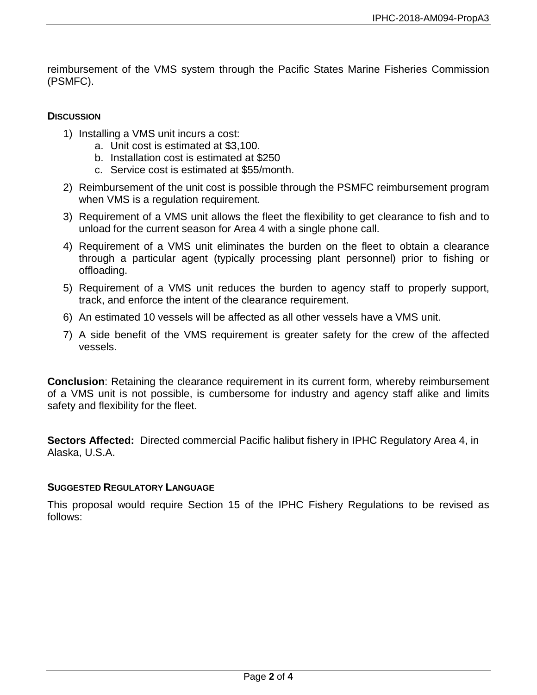reimbursement of the VMS system through the Pacific States Marine Fisheries Commission (PSMFC).

## **DISCUSSION**

- 1) Installing a VMS unit incurs a cost:
	- a. Unit cost is estimated at \$3,100.
	- b. Installation cost is estimated at \$250
	- c. Service cost is estimated at \$55/month.
- 2) Reimbursement of the unit cost is possible through the PSMFC reimbursement program when VMS is a regulation requirement.
- 3) Requirement of a VMS unit allows the fleet the flexibility to get clearance to fish and to unload for the current season for Area 4 with a single phone call.
- 4) Requirement of a VMS unit eliminates the burden on the fleet to obtain a clearance through a particular agent (typically processing plant personnel) prior to fishing or offloading.
- 5) Requirement of a VMS unit reduces the burden to agency staff to properly support, track, and enforce the intent of the clearance requirement.
- 6) An estimated 10 vessels will be affected as all other vessels have a VMS unit.
- 7) A side benefit of the VMS requirement is greater safety for the crew of the affected vessels.

**Conclusion**: Retaining the clearance requirement in its current form, whereby reimbursement of a VMS unit is not possible, is cumbersome for industry and agency staff alike and limits safety and flexibility for the fleet.

**Sectors Affected:** Directed commercial Pacific halibut fishery in IPHC Regulatory Area 4, in Alaska, U.S.A.

## **SUGGESTED REGULATORY LANGUAGE**

This proposal would require Section 15 of the IPHC Fishery Regulations to be revised as follows: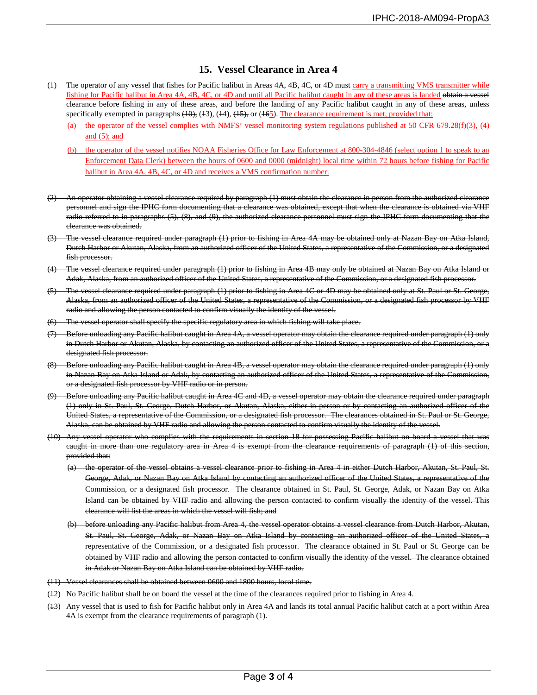#### **15. Vessel Clearance in Area 4**

- (1) The operator of any vessel that fishes for Pacific halibut in Areas 4A, 4B, 4C, or 4D must carry a transmitting VMS transmitter while fishing for Pacific halibut in Area 4A, 4B, 4C, or 4D and until all Pacific halibut caught in any of these areas is landed obtain a vessel clearance before fishing in any of these areas, and before the landing of any Pacific halibut caught in any of these areas, unless specifically exempted in paragraphs  $(10)$ ,  $(13)$ ,  $(14)$ ,  $(15)$ , or  $(165)$ . The clearance requirement is met, provided that:
	- (a) the operator of the vessel complies with NMFS' vessel monitoring system regulations published at 50 CFR 679.28(f)(3), (4) and (5); and
	- (b) the operator of the vessel notifies NOAA Fisheries Office for Law Enforcement at 800-304-4846 (select option 1 to speak to an Enforcement Data Clerk) between the hours of 0600 and 0000 (midnight) local time within 72 hours before fishing for Pacific halibut in Area 4A, 4B, 4C, or 4D and receives a VMS confirmation number.
- (2) An operator obtaining a vessel clearance required by paragraph (1) must obtain the clearance in person from the authorized clearance personnel and sign the IPHC form documenting that a clearance was obtained, except that when the clearance is obtained via VHF radio referred to in paragraphs (5), (8), and (9), the authorized clearance personnel must sign the IPHC form documenting that the clearance was obtained.
- (3) The vessel clearance required under paragraph (1) prior to fishing in Area 4A may be obtained only at Nazan Bay on Atka Island, Dutch Harbor or Akutan, Alaska, from an authorized officer of the United States, a representative of the Commission, or a designated fish processor.
- (4) The vessel clearance required under paragraph (1) prior to fishing in Area 4B may only be obtained at Nazan Bay on Atka Island or Adak, Alaska, from an authorized officer of the United States, a representative of the Commission, or a designated fish processor.
- (5) The vessel clearance required under paragraph (1) prior to fishing in Area 4C or 4D may be obtained only at St. Paul or St. George, Alaska, from an authorized officer of the United States, a representative of the Commission, or a designated fish processor by VHF radio and allowing the person contacted to confirm visually the identity of the vessel.
- The vessel operator shall specify the specific regulatory area in which fishing will take place.
- (7) Before unloading any Pacific halibut caught in Area 4A, a vessel operator may obtain the clearance required under paragraph (1) only in Dutch Harbor or Akutan, Alaska, by contacting an authorized officer of the United States, a representative of the Commission, or a designated fish processor.
- (8) Before unloading any Pacific halibut caught in Area 4B, a vessel operator may obtain the clearance required under paragraph (1) only in Nazan Bay on Atka Island or Adak, by contacting an authorized officer of the United States, a representative of the Commission, or a designated fish processor by VHF radio or in person.
- (9) Before unloading any Pacific halibut caught in Area 4C and 4D, a vessel operator may obtain the clearance required under paragraph (1) only in St. Paul, St. George, Dutch Harbor, or Akutan, Alaska, either in person or by contacting an authorized officer of the United States, a representative of the Commission, or a designated fish processor. The clearances obtained in St. Paul or St. George, Alaska, can be obtained by VHF radio and allowing the person contacted to confirm visually the identity of the vessel.
- (10) Any vessel operator who complies with the requirements in section 18 for possessing Pacific halibut on board a vessel that was caught in more than one regulatory area in Area 4 is exempt from the clearance requirements of paragraph (1) of this section, provided that:
	- (a) the operator of the vessel obtains a vessel clearance prior to fishing in Area 4 in either Dutch Harbor, Akutan, St. Paul, St. George, Adak, or Nazan Bay on Atka Island by contacting an authorized officer of the United States, a representative of the Commission, or a designated fish processor. The clearance obtained in St. Paul, St. George, Adak, or Nazan Bay on Atka Island can be obtained by VHF radio and allowing the person contacted to confirm visually the identity of the vessel. This clearance will list the areas in which the vessel will fish; and
	- (b) before unloading any Pacific halibut from Area 4, the vessel operator obtains a vessel clearance from Dutch Harbor, Akutan, St. Paul, St. George, Adak, or Nazan Bay on Atka Island by contacting an authorized officer of the United States, representative of the Commission, or a designated fish processor. The clearance obtained in St. Paul or St. George can be obtained by VHF radio and allowing the person contacted to confirm visually the identity of the vessel. The clearance obtained in Adak or Nazan Bay on Atka Island can be obtained by VHF radio.

#### (11) Vessel clearances shall be obtained between 0600 and 1800 hours, local time.

- (12) No Pacific halibut shall be on board the vessel at the time of the clearances required prior to fishing in Area 4.
- (13) Any vessel that is used to fish for Pacific halibut only in Area 4A and lands its total annual Pacific halibut catch at a port within Area 4A is exempt from the clearance requirements of paragraph (1).